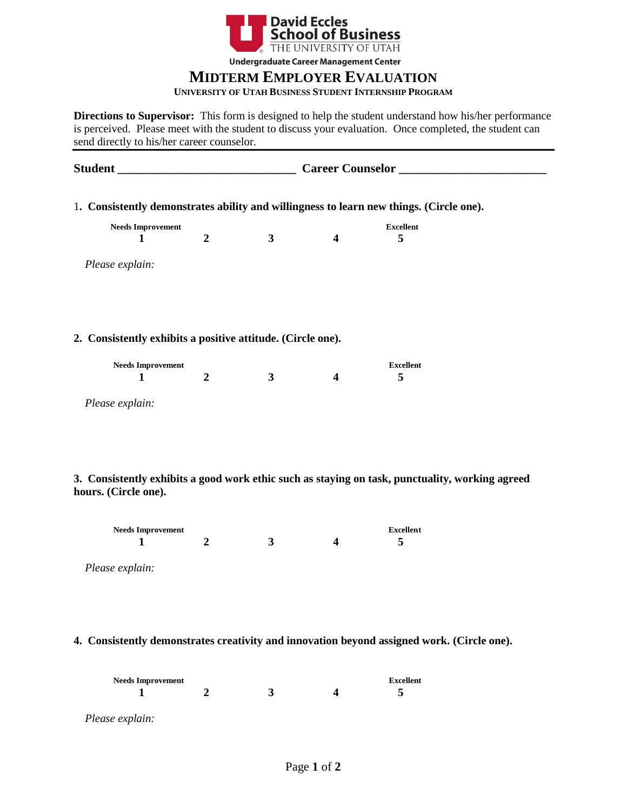

**Undergraduate Career Management Center** 

# **MIDTERM EMPLOYER EVALUATION**

#### **UNIVERSITY OF UTAH BUSINESS STUDENT INTERNSHIP PROGRAM**

**Directions to Supervisor:** This form is designed to help the student understand how his/her performance is perceived. Please meet with the student to discuss your evaluation. Once completed, the student can send directly to his/her career counselor.

**Student \_\_\_\_\_\_\_\_\_\_\_\_\_\_\_\_\_\_\_\_\_\_\_\_\_\_\_\_\_ Career Counselor \_\_\_\_\_\_\_\_\_\_\_\_\_\_\_\_\_\_\_\_\_\_\_\_** 1**. Consistently demonstrates ability and willingness to learn new things. (Circle one). Needs Improvement** Excellent  **1 2 3 4 5**  *Please explain:* **2. Consistently exhibits a positive attitude. (Circle one). Needs Improvement** Excellent  **1 2 3 4 5** *Please explain:*

**3. Consistently exhibits a good work ethic such as staying on task, punctuality, working agreed hours. (Circle one).**

| <b>Needs Improvement</b> |  | Excellent |
|--------------------------|--|-----------|
|                          |  |           |

*Please explain:*

**4. Consistently demonstrates creativity and innovation beyond assigned work. (Circle one).**

| <b>Needs Improvement</b> |  |  |  | <b>Excellent</b> |
|--------------------------|--|--|--|------------------|
|                          |  |  |  |                  |
| Please explain:          |  |  |  |                  |